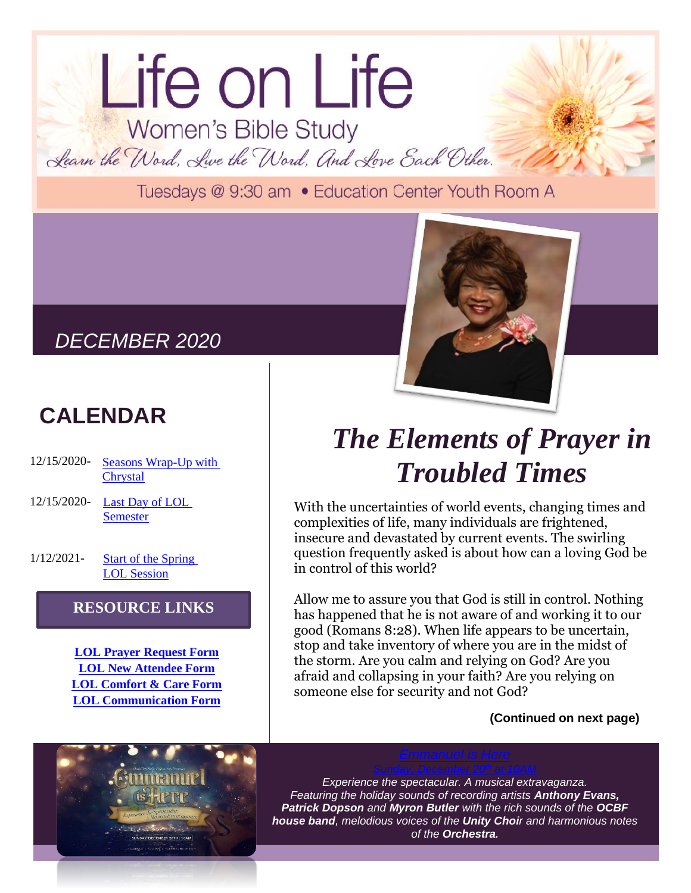# Life on Life Women's Bible Study Learn the Word, Live the Word, And Love Each Other.

Tuesdays @ 9:30 am . Education Center Youth Room A

## *DECEMBER 2020*

# **CALENDAR**

- 12/15/2020- [Seasons Wrap-Up with](https://us02web.zoom.us/j/82011348588?pwd=QWJCV1ZUbW95SkdNOEs1MTdxYXdyQT09#success)  **[Chrystal](https://us02web.zoom.us/j/82011348588?pwd=QWJCV1ZUbW95SkdNOEs1MTdxYXdyQT09#success)**
- 12/15/2020- [Last Day of LOL](https://us02web.zoom.us/j/82011348588?pwd=QWJCV1ZUbW95SkdNOEs1MTdxYXdyQT09#success)  [Semester](https://us02web.zoom.us/j/82011348588?pwd=QWJCV1ZUbW95SkdNOEs1MTdxYXdyQT09#success)
- 1/12/2021- [Start of the Spring](https://us02web.zoom.us/j/82011348588?pwd=QWJCV1ZUbW95SkdNOEs1MTdxYXdyQT09#success)  [LOL Session](https://us02web.zoom.us/j/82011348588?pwd=QWJCV1ZUbW95SkdNOEs1MTdxYXdyQT09#success)

## **RESOURCE LINKS**

**[LOL Prayer Request Form](https://tinyurl.com/y6hdxr98) [LOL New Attendee Form](https://tinyurl.com/y443dwss) [LOL Comfort & Care Form](https://tinyurl.com/y6arurok) [LOL Communication Form](https://tinyurl.com/y5wm7htw)**





## *The Elements of Prayer in Troubled Times*

With the uncertainties of world events, changing times and complexities of life, many individuals are frightened, insecure and devastated by current events. The swirling question frequently asked is about how can a loving God be in control of this world?

Allow me to assure you that God is still in control. Nothing has happened that he is not aware of and working it to our good (Romans 8:28). When life appears to be uncertain, stop and take inventory of where you are in the midst of the storm. Are you calm and relying on God? Are you afraid and collapsing in your faith? Are you relying on someone else for security and not God?

## **(Continued on next page)**

*Experience the spectacular. A musical extravaganza. Featuring the holiday sounds of recording artists Anthony Evans, Patrick Dopson and Myron Butler with the rich sounds of the OCBF house band, melodious voices of the Unity Choir and harmonious notes of the Orchestra.*